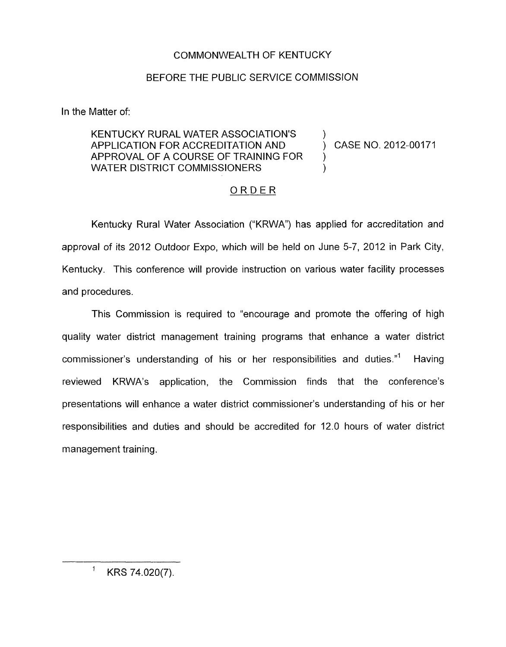## COMMONWEALTH OF KENTUCKY

## BEFORE THE PUBLIC SERVICE COMMISSION

In the Matter of:

## KENTUCKY RURAL WATER ASSOCIATION'S APPLICATION FOR ACCREDITATION AND<br>
APPLICATION FOR ACCREDITATION AND<br>
APPROVAL OF A COURSE OF TRAINING FOR<br>
WATER DISTRICT COMMISSIONERS<br>
<u>ORDER</u> WATER DISTRICT COMMISSIONERS APPROVAL OF A COURSE OF TRAINING FOR )

Kentucky Rural Water Association ("KRWA") has applied for accreditation and approval of its 2012 Outdoor Expo, which will be held on June 5-7, 2012 in Park City, Kentucky. This conference will provide instruction on various water facility processes and procedures.

This Commission is required to "encourage and promote the offering of high quality water district management training programs that enhance a water district commissioner's understanding of his or her responsibilities and duties."' Having reviewed KRWA's application, the Commission finds that the conference's presentations will enhance a water district commissioner's understanding of his or her responsibilities and duties and should be accredited for 12.0 hours of water district management training.

 $1$  KRS 74.020(7).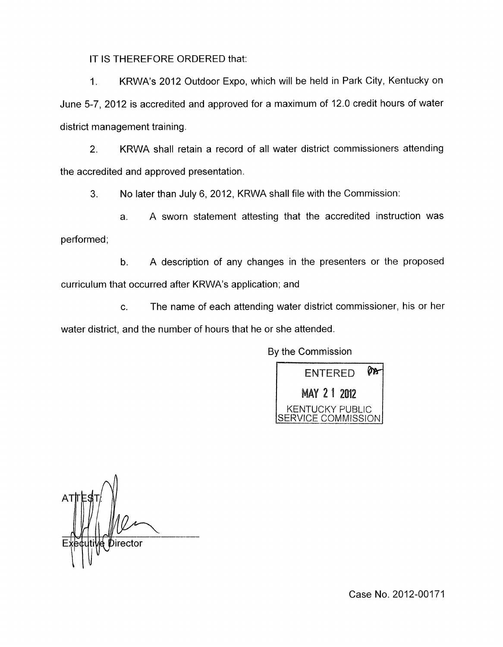IT IS THEREFORE ORDERED that:

1. KRWA's 2012 Outdoor Expo, which will be held in Park City, Kentucky on June 5-7, 2012 is accredited and approved for a maximum of 12.0 credit hours of water district management training.

2. KRWA shall retain a record of all water district commissioners attending the accredited and approved presentation.

**3.** No later than July 6, 2012, KRWA shall file with the Commission:

a. A sworn statement attesting that the accredited instruction was performed;

b. A description of any changes in the presenters or the proposed curriculum that occurred after KRWA's application; and

c. The name of each attending water district commissioner, his or her water district, and the number of hours that he or she attended.

By the Commission



Director

Case No. 2012-00171